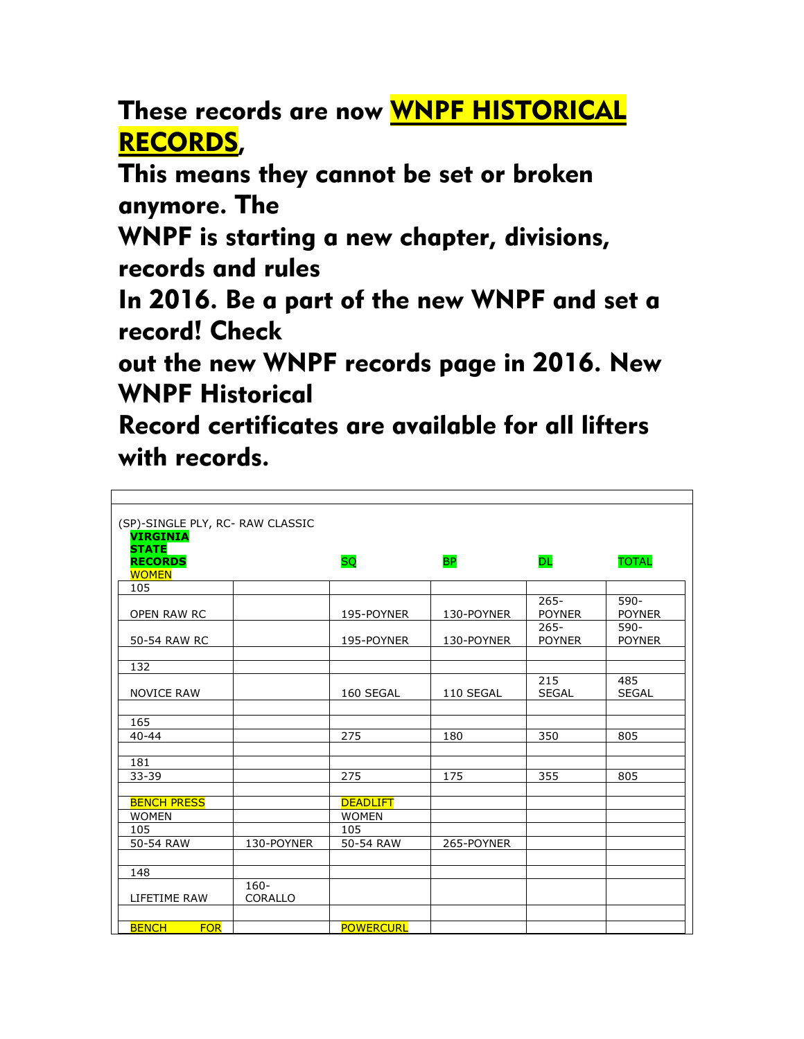These records are now WNPF HISTORICAL RECORDS,

This means they cannot be set or broken anymore. The

WNPF is starting a new chapter, divisions, records and rules

In 2016. Be a part of the new WNPF and set a record! Check

out the new WNPF records page in 2016. New WNPF Historical

Record certificates are available for all lifters with records.

| (SP)-SINGLE PLY, RC- RAW CLASSIC<br><b>VIRGINIA</b><br><b>STATE</b><br><b>RECORDS</b><br><b>WOMEN</b> |                    | <b>SQ</b>        | <b>BP</b>  | <b>DL</b>                | <b>TOTAL</b>             |
|-------------------------------------------------------------------------------------------------------|--------------------|------------------|------------|--------------------------|--------------------------|
| 105                                                                                                   |                    |                  |            |                          |                          |
| OPEN RAW RC                                                                                           |                    | 195-POYNER       | 130-POYNER | $265 -$<br><b>POYNER</b> | 590-<br><b>POYNER</b>    |
| 50-54 RAW RC                                                                                          |                    | 195-POYNER       | 130-POYNER | $265 -$<br><b>POYNER</b> | $590 -$<br><b>POYNER</b> |
| 132                                                                                                   |                    |                  |            |                          |                          |
| <b>NOVICE RAW</b>                                                                                     |                    | 160 SEGAL        | 110 SEGAL  | 215<br><b>SEGAL</b>      | 485<br><b>SEGAL</b>      |
| 165<br>$40 - 44$                                                                                      |                    | 275              | 180        | 350                      | 805                      |
|                                                                                                       |                    |                  |            |                          |                          |
| 181                                                                                                   |                    |                  |            |                          |                          |
| 33-39                                                                                                 |                    | 275              | 175        | 355                      | 805                      |
| <b>BENCH PRESS</b>                                                                                    |                    | <b>DEADLIFT</b>  |            |                          |                          |
| <b>WOMEN</b>                                                                                          |                    | <b>WOMEN</b>     |            |                          |                          |
| 105                                                                                                   |                    | 105              |            |                          |                          |
| 50-54 RAW                                                                                             | 130-POYNER         | 50-54 RAW        | 265-POYNER |                          |                          |
| 148                                                                                                   |                    |                  |            |                          |                          |
| LIFETIME RAW                                                                                          | $160 -$<br>CORALLO |                  |            |                          |                          |
| <b>BENCH</b><br><b>FOR</b>                                                                            |                    | <b>POWERCURL</b> |            |                          |                          |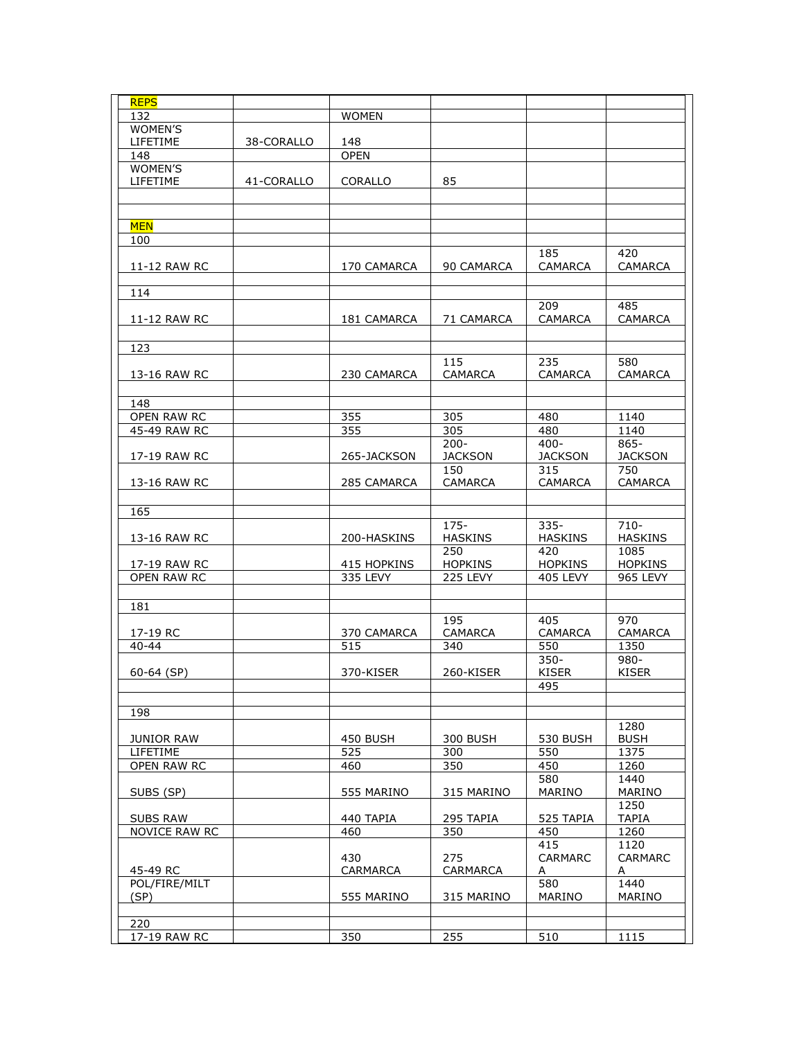| <b>REPS</b>     |            |              |                |                 |                 |
|-----------------|------------|--------------|----------------|-----------------|-----------------|
| 132             |            | <b>WOMEN</b> |                |                 |                 |
| <b>WOMEN'S</b>  |            |              |                |                 |                 |
| LIFETIME        | 38-CORALLO | 148          |                |                 |                 |
| 148             |            | <b>OPEN</b>  |                |                 |                 |
| <b>WOMEN'S</b>  |            |              |                |                 |                 |
| LIFETIME        | 41-CORALLO | CORALLO      | 85             |                 |                 |
|                 |            |              |                |                 |                 |
|                 |            |              |                |                 |                 |
|                 |            |              |                |                 |                 |
| <b>MEN</b>      |            |              |                |                 |                 |
| 100             |            |              |                |                 |                 |
|                 |            |              |                | 185             | 420             |
| 11-12 RAW RC    |            | 170 CAMARCA  | 90 CAMARCA     | <b>CAMARCA</b>  | <b>CAMARCA</b>  |
|                 |            |              |                |                 |                 |
| 114             |            |              |                |                 |                 |
|                 |            |              |                | 209             | 485             |
| 11-12 RAW RC    |            | 181 CAMARCA  | 71 CAMARCA     | <b>CAMARCA</b>  | <b>CAMARCA</b>  |
|                 |            |              |                |                 |                 |
| 123             |            |              |                |                 |                 |
|                 |            |              | 115            | 235             | 580             |
| 13-16 RAW RC    |            | 230 CAMARCA  | <b>CAMARCA</b> | <b>CAMARCA</b>  | <b>CAMARCA</b>  |
|                 |            |              |                |                 |                 |
| 148             |            |              |                |                 |                 |
| OPEN RAW RC     |            | 355          | 305            | 480             | 1140            |
| 45-49 RAW RC    |            | 355          | 305            | 480             | 1140            |
|                 |            |              |                |                 | $865 -$         |
|                 |            |              | $200 -$        | $400 -$         |                 |
| 17-19 RAW RC    |            | 265-JACKSON  | JACKSON        | <b>JACKSON</b>  | <b>JACKSON</b>  |
|                 |            |              | 150            | 315             | 750             |
| 13-16 RAW RC    |            | 285 CAMARCA  | <b>CAMARCA</b> | <b>CAMARCA</b>  | <b>CAMARCA</b>  |
|                 |            |              |                |                 |                 |
| 165             |            |              |                |                 |                 |
|                 |            |              | $175 -$        | $335 -$         | $710-$          |
| 13-16 RAW RC    |            | 200-HASKINS  | <b>HASKINS</b> | <b>HASKINS</b>  | <b>HASKINS</b>  |
|                 |            |              | 250            | 420             | 1085            |
| 17-19 RAW RC    |            | 415 HOPKINS  | <b>HOPKINS</b> | <b>HOPKINS</b>  | <b>HOPKINS</b>  |
| OPEN RAW RC     |            | 335 LEVY     | 225 LEVY       | 405 LEVY        | <b>965 LEVY</b> |
|                 |            |              |                |                 |                 |
| 181             |            |              |                |                 |                 |
|                 |            |              | 195            | 405             | 970             |
| 17-19 RC        |            | 370 CAMARCA  | <b>CAMARCA</b> | <b>CAMARCA</b>  | <b>CAMARCA</b>  |
| $40 - 44$       |            | 515          | 340            | 550             | 1350            |
|                 |            |              |                | $350 -$         | 980-            |
| $60-64$ (SP)    |            | 370-KISER    | 260-KISER      | <b>KISER</b>    | <b>KISER</b>    |
|                 |            |              |                | 495             |                 |
|                 |            |              |                |                 |                 |
| 198             |            |              |                |                 |                 |
|                 |            |              |                |                 | 1280            |
| JUNIOR RAW      |            | 450 BUSH     | 300 BUSH       | <b>530 BUSH</b> | <b>BUSH</b>     |
| <b>LIFETIME</b> |            | 525          | 300            | 550             | 1375            |
| OPEN RAW RC     |            | 460          | 350            | 450             | 1260            |
|                 |            |              |                | 580             | 1440            |
| SUBS (SP)       |            | 555 MARINO   | 315 MARINO     | MARINO          | MARINO          |
|                 |            |              |                |                 | 1250            |
|                 |            |              |                | 525 TAPIA       | <b>TAPIA</b>    |
| <b>SUBS RAW</b> |            | 440 TAPIA    | 295 TAPIA      |                 |                 |
| NOVICE RAW RC   |            | 460          | 350            | 450             | 1260            |
|                 |            |              |                | 415             | 1120            |
|                 |            | 430          | 275            | <b>CARMARC</b>  | <b>CARMARC</b>  |
| 45-49 RC        |            | CARMARCA     | CARMARCA       | A               | A               |
| POL/FIRE/MILT   |            |              |                | 580             | 1440            |
| (SP)            |            | 555 MARINO   | 315 MARINO     | <b>MARINO</b>   | MARINO          |
|                 |            |              |                |                 |                 |
| 220             |            |              |                |                 |                 |
| 17-19 RAW RC    |            | 350          | 255            | 510             | 1115            |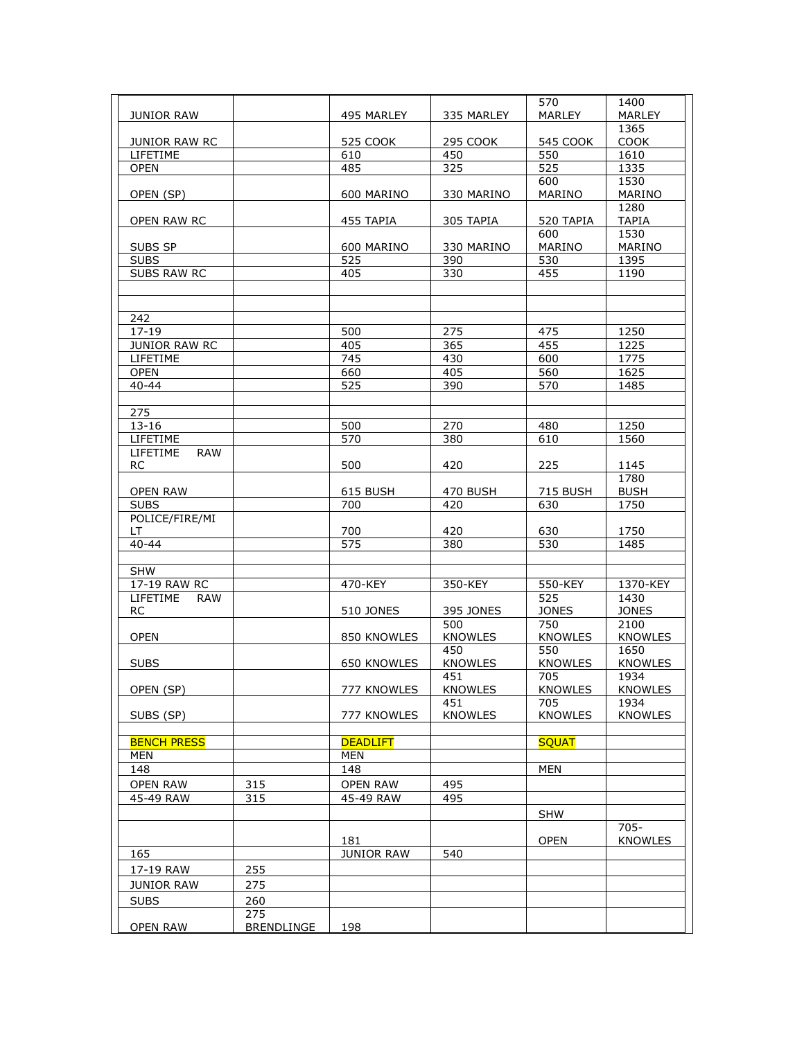|                        |                   |                   |                 | 570             | 1400           |
|------------------------|-------------------|-------------------|-----------------|-----------------|----------------|
| <b>JUNIOR RAW</b>      |                   | 495 MARLEY        | 335 MARLEY      | <b>MARLEY</b>   | <b>MARLEY</b>  |
|                        |                   |                   |                 |                 | 1365           |
| JUNIOR RAW RC          |                   | 525 COOK          | 295 COOK        | 545 COOK        | <b>COOK</b>    |
| LIFETIME               |                   | 610               | 450             | 550             | 1610           |
| <b>OPEN</b>            |                   | 485               | 325             | 525             | 1335           |
|                        |                   |                   |                 | 600             | 1530           |
| OPEN (SP)              |                   | 600 MARINO        | 330 MARINO      | MARINO          | MARINO         |
|                        |                   |                   |                 |                 | 1280           |
| OPEN RAW RC            |                   | 455 TAPIA         | 305 TAPIA       | 520 TAPIA       | <b>TAPIA</b>   |
|                        |                   |                   |                 | 600             | 1530           |
| SUBS SP                |                   | 600 MARINO        | 330 MARINO      | <b>MARINO</b>   | MARINO         |
| <b>SUBS</b>            |                   | 525               | 390             | 530             | 1395           |
| SUBS RAW RC            |                   | 405               | 330             | 455             | 1190           |
|                        |                   |                   |                 |                 |                |
|                        |                   |                   |                 |                 |                |
| 242                    |                   |                   |                 |                 |                |
|                        |                   |                   |                 |                 |                |
| 17-19                  |                   | 500               | 275             | 475             | 1250           |
| JUNIOR RAW RC          |                   | 405               | 365             | 455             | 1225           |
| <b>LIFETIME</b>        |                   | $\overline{745}$  | 430             | 600             | 1775           |
| <b>OPEN</b>            |                   | 660               | 405             | 560             | 1625           |
| $40 - 44$              |                   | 525               | 390             | 570             | 1485           |
|                        |                   |                   |                 |                 |                |
| 275                    |                   |                   |                 |                 |                |
| $13 - 16$              |                   | 500               | 270             | 480             | 1250           |
| <b>LIFETIME</b>        |                   | 570               | 380             | 610             | 1560           |
| <b>RAW</b><br>LIFETIME |                   |                   |                 |                 |                |
| <b>RC</b>              |                   | 500               | 420             | 225             | 1145           |
|                        |                   |                   |                 |                 | 1780           |
| <b>OPEN RAW</b>        |                   | 615 BUSH          | <b>470 BUSH</b> | <b>715 BUSH</b> | <b>BUSH</b>    |
| <b>SUBS</b>            |                   | 700               | 420             | 630             | 1750           |
| POLICE/FIRE/MI         |                   |                   |                 |                 |                |
| LT.                    |                   | 700               | 420             | 630             | 1750           |
| $40 - 44$              |                   | $\overline{575}$  | 380             | 530             | 1485           |
|                        |                   |                   |                 |                 |                |
| <b>SHW</b>             |                   |                   |                 |                 |                |
| 17-19 RAW RC           |                   | 470-KEY           | 350-KEY         | 550-KEY         | 1370-KEY       |
| LIFETIME<br><b>RAW</b> |                   |                   |                 | 525             | 1430           |
| <b>RC</b>              |                   | 510 JONES         | 395 JONES       | <b>JONES</b>    | <b>JONES</b>   |
|                        |                   |                   | 500             | 750             | 2100           |
| <b>OPEN</b>            |                   | 850 KNOWLES       | <b>KNOWLES</b>  | <b>KNOWLES</b>  | <b>KNOWLES</b> |
|                        |                   |                   | 450             | 550             | 1650           |
| <b>SUBS</b>            |                   | 650 KNOWLES       | <b>KNOWLES</b>  | <b>KNOWLES</b>  | <b>KNOWLES</b> |
|                        |                   |                   | 451             | 705             | 1934           |
| OPEN (SP)              |                   | 777 KNOWLES       | <b>KNOWLES</b>  | <b>KNOWLES</b>  | <b>KNOWLES</b> |
|                        |                   |                   | 451             | 705             | 1934           |
| SUBS (SP)              |                   | 777 KNOWLES       | <b>KNOWLES</b>  | <b>KNOWLES</b>  | <b>KNOWLES</b> |
|                        |                   |                   |                 |                 |                |
| <b>BENCH PRESS</b>     |                   | <b>DEADLIFT</b>   |                 | <b>SQUAT</b>    |                |
| <b>MEN</b>             |                   | MEN               |                 |                 |                |
| 148                    |                   | 148               |                 | <b>MEN</b>      |                |
| <b>OPEN RAW</b>        | 315               | <b>OPEN RAW</b>   | 495             |                 |                |
| 45-49 RAW              | 315               | 45-49 RAW         | 495             |                 |                |
|                        |                   |                   |                 | <b>SHW</b>      |                |
|                        |                   |                   |                 |                 | $705 -$        |
|                        |                   | 181               |                 | <b>OPEN</b>     | <b>KNOWLES</b> |
| 165                    |                   | <b>JUNIOR RAW</b> | 540             |                 |                |
| 17-19 RAW              | 255               |                   |                 |                 |                |
|                        |                   |                   |                 |                 |                |
| <b>JUNIOR RAW</b>      | 275               |                   |                 |                 |                |
| <b>SUBS</b>            | 260               |                   |                 |                 |                |
|                        | 275               |                   |                 |                 |                |
| <b>OPEN RAW</b>        | <b>BRENDLINGE</b> | 198               |                 |                 |                |